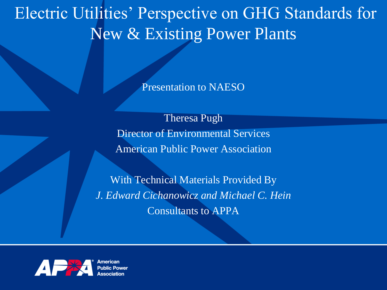#### Electric Utilities' Perspective on GHG Standards for New & Existing Power Plants

Presentation to NAESO

Theresa Pugh Director of Environmental Services American Public Power Association

With Technical Materials Provided By *J. Edward Cichanowicz and Michael C. Hein* Consultants to APPA

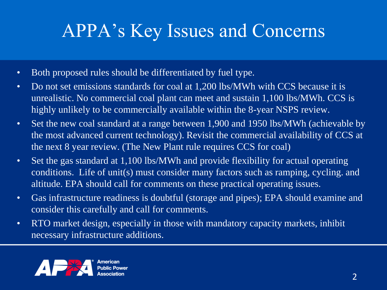#### APPA's Key Issues and Concerns

- Both proposed rules should be differentiated by fuel type.
- Do not set emissions standards for coal at 1,200 lbs/MWh with CCS because it is unrealistic. No commercial coal plant can meet and sustain 1,100 lbs/MWh. CCS is highly unlikely to be commercially available within the 8-year NSPS review.
- Set the new coal standard at a range between 1,900 and 1950 lbs/MWh (achievable by the most advanced current technology). Revisit the commercial availability of CCS at the next 8 year review. (The New Plant rule requires CCS for coal)
- Set the gas standard at 1,100 lbs/MWh and provide flexibility for actual operating conditions. Life of unit(s) must consider many factors such as ramping, cycling. and altitude. EPA should call for comments on these practical operating issues.
- Gas infrastructure readiness is doubtful (storage and pipes); EPA should examine and consider this carefully and call for comments.
- RTO market design, especially in those with mandatory capacity markets, inhibit necessary infrastructure additions.

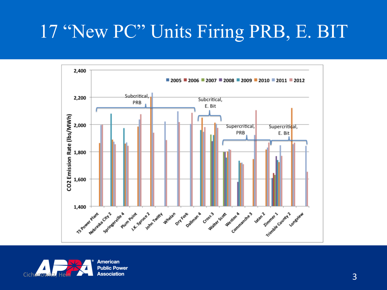#### 17 "New PC" Units Firing PRB, E. BIT



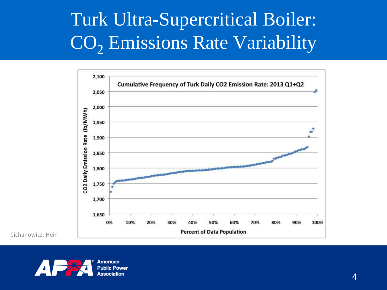## Turk Ultra-Supercritical Boiler: CO<sub>2</sub> Emissions Rate Variability



Cichanowicz, Hein



American **Public Power** Association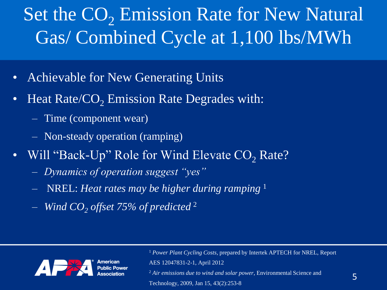## Set the CO<sub>2</sub> Emission Rate for New Natural Gas/ Combined Cycle at 1,100 lbs/MWh

- Achievable for New Generating Units
- Heat Rate/ $CO<sub>2</sub>$  Emission Rate Degrades with:
	- Time (component wear)
	- Non-steady operation (ramping)
- Will "Back-Up" Role for Wind Elevate CO<sub>2</sub> Rate?
	- *Dynamics of operation suggest "yes"*
	- NREL: *Heat rates may be higher during ramping* <sup>1</sup>
	- *Wind CO<sup>2</sup> offset 75% of predicted* <sup>2</sup>



<sup>1</sup> *Power Plant Cycling Costs*, prepared by Intertek APTECH for NREL, Report

AES 12047831-2-1, April 2012

<sup>2</sup> *Air emissions due to wind and solar power*, Environmental Science and

Technology, 2009, Jan 15, 43(2):253-8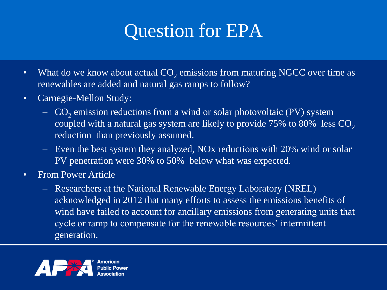#### Question for EPA

- What do we know about actual  $CO_2$  emissions from maturing NGCC over time as renewables are added and natural gas ramps to follow?
- Carnegie-Mellon Study:
	- $-$  CO<sub>2</sub> emission reductions from a wind or solar photovoltaic (PV) system coupled with a natural gas system are likely to provide 75% to 80% less  $CO<sub>2</sub>$ reduction than previously assumed.
	- Even the best system they analyzed, NOx reductions with 20% wind or solar PV penetration were 30% to 50% below what was expected.
- From Power Article
	- Researchers at the National Renewable Energy Laboratory (NREL) acknowledged in 2012 that many efforts to assess the emissions benefits of wind have failed to account for ancillary emissions from generating units that cycle or ramp to compensate for the renewable resources' intermittent generation.

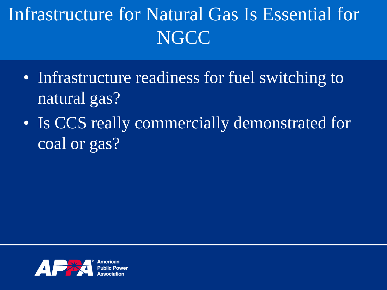## Infrastructure for Natural Gas Is Essential for **NGCC**

- Infrastructure readiness for fuel switching to natural gas?
- Is CCS really commercially demonstrated for coal or gas?

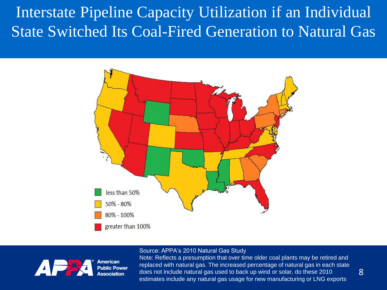Interstate Pipeline Capacity Utilization if an Individual State Switched Its Coal-Fired Generation to Natural Gas



#### Source: APPA's 2010 Natural Gas Study



American **Public Power** Association

Note: Reflects a presumption that over time older coal plants may be retired and replaced with natural gas. The increased percentage of natural gas in each state does not include natural gas used to back up wind or solar, do these 2010 estimates include any natural gas usage for new manufacturing or LNG exports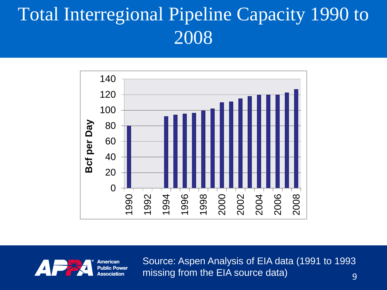#### Total Interregional Pipeline Capacity 1990 to





Source: Aspen Analysis of EIA data (1991 to 1993 missing from the EIA source data) and some set of the set of the set of the set of the set of the set of the s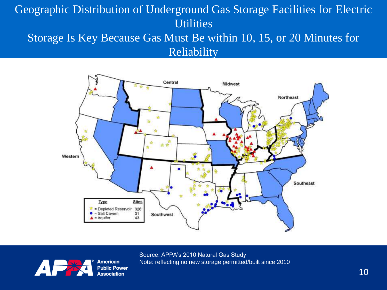#### Geographic Distribution of Underground Gas Storage Facilities for Electric **Utilities** Storage Is Key Because Gas Must Be within 10, 15, or 20 Minutes for

Reliability





**A** 

Source: APPA's 2010 Natural Gas Study Note: reflecting no new storage permitted/built since 2010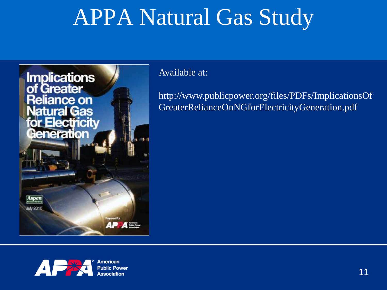# APPA Natural Gas Study



Available at:

http://www.publicpower.org/files/PDFs/ImplicationsOf GreaterRelianceOnNGforElectricityGeneration.pdf



American **Public Power** Association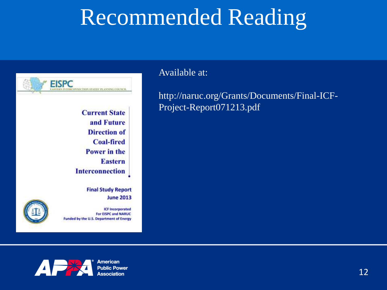# Recommended Reading



**Current State** and Future **Direction of Coal-fired Power** in the **Eastern Interconnection** 

> **Final Study Report June 2013**



**ICF Incorporated For EISPC and NARUC** Funded by the U.S. Department of Energy

Available at:

http://naruc.org/Grants/Documents/Final-ICF-Project-Report071213.pdf



American **Public Power** Association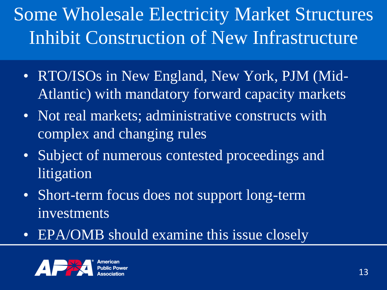# Some Wholesale Electricity Market Structures Inhibit Construction of New Infrastructure

- RTO/ISOs in New England, New York, PJM (Mid-Atlantic) with mandatory forward capacity markets
- Not real markets; administrative constructs with complex and changing rules
- Subject of numerous contested proceedings and **litigation**
- Short-term focus does not support long-term investments
- EPA/OMB should examine this issue closely

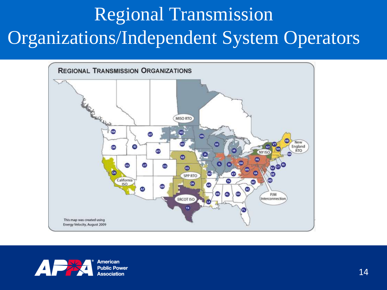# Regional Transmission Organizations/Independent System Operators



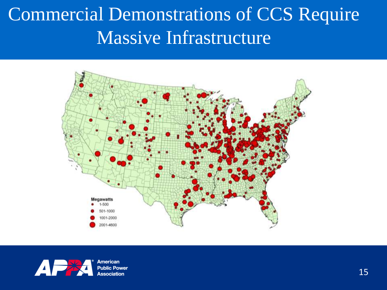## Commercial Demonstrations of CCS Require Massive Infrastructure





American **Public Power Association**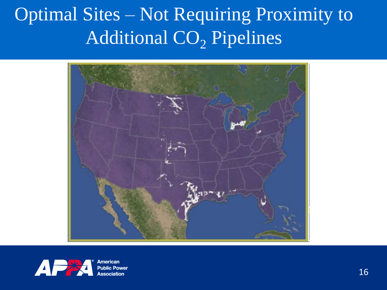## Optimal Sites – Not Requiring Proximity to Additional  $CO<sub>2</sub>$  Pipelines





ımerican **Public Power** Association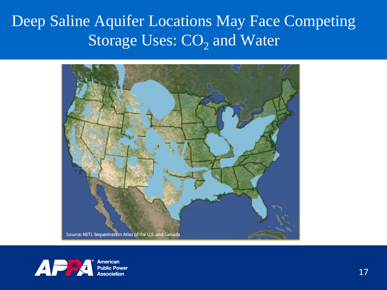Deep Saline Aquifer Locations May Face Competing Storage Uses: CO<sub>2</sub> and Water





American **Public Power Association**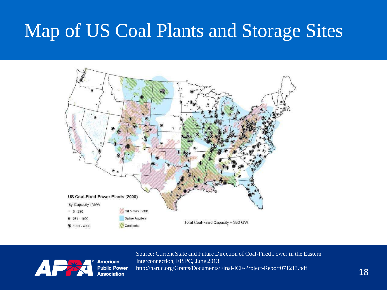#### Map of US Coal Plants and Storage Sites





American **Public Power Association**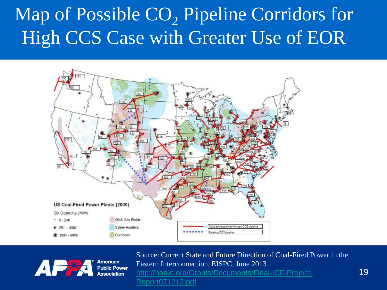# Map of Possible  $CO<sub>2</sub>$  Pipeline Corridors for High CCS Case with Greater Use of EOR





American **Public Power Association**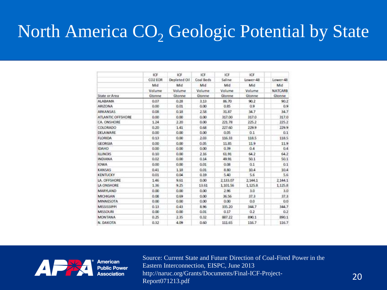#### North America  $CO<sub>2</sub>$  Geologic Potential by State

|                          | ICF<br>CO2 EOR<br>Mid<br>Valume<br>Gtonne | ICF<br>Depleted Oil<br>Mid<br>Volume<br>Gtonne | <b>JCF</b><br>Coal Beds<br>Mid<br>Volume<br>Gtonne | ICF<br>Saline<br>Mid<br>Volume<br>Gtonne | ICF<br>Lower-48<br>Mid<br>Volume<br>Gtonne | Lower-48<br>Mid<br><b>NATCARB</b><br>Gtonne |
|--------------------------|-------------------------------------------|------------------------------------------------|----------------------------------------------------|------------------------------------------|--------------------------------------------|---------------------------------------------|
|                          |                                           |                                                |                                                    |                                          |                                            |                                             |
|                          |                                           |                                                |                                                    |                                          |                                            |                                             |
|                          |                                           |                                                |                                                    |                                          |                                            |                                             |
| State or Area            |                                           |                                                |                                                    |                                          |                                            |                                             |
| <b>ALABAMA</b>           | 0.07                                      | 0.28                                           | 3, 13                                              | 86.70                                    | 90.2                                       | 90.2                                        |
| <b>ARIZONA</b>           | 0.00                                      | 0.01                                           | 0.00                                               | 0.85                                     | 0.9                                        | 0.9                                         |
| ARKANSAS                 | 0.08                                      | 0.18                                           | 2.58                                               | 31.87                                    | 34.7                                       | 34.7                                        |
| <b>ATLANTIC OFFSHORE</b> | 0.00                                      | 0.00                                           | 0.00                                               | 317.00                                   | 317.0                                      | 317.0                                       |
| CA. ONSHORE              | 1.24                                      | 2.20                                           | 0.00                                               | 221.78                                   | 225.2                                      | 225.2                                       |
| COLORADO                 | 0.20                                      | 1.41                                           | 0.68                                               | 227.60                                   | 229.9                                      | 229.9                                       |
| DELAWARE                 | 0.00                                      | 0.00                                           | 0.00                                               | 0.05                                     | 0.1                                        | 0.1                                         |
| <b>FLORIDA</b>           | 0.13                                      | 0.00                                           | 2.03                                               | 116.33                                   | 118.5                                      | 118.5                                       |
| <b>GEORGIA</b>           | 0.00                                      | 0.00                                           | 0.05                                               | 11.85                                    | 119                                        | 119                                         |
| <b>IDAHO</b>             | 0.00                                      | 0.00                                           | 0.00                                               | 0.39                                     | 0.4                                        | 0.4                                         |
| <b>ILLINOIS</b>          | 0.10                                      | 0.00                                           | 2.16                                               | 61.91                                    | 64.2                                       | 64.2                                        |
| <b>INDIANA</b>           | 0.02                                      | 0.00                                           | 0.14                                               | 49.91                                    | 50.1                                       | 50.1                                        |
| <b>IOWA</b>              | 0.00                                      | 0.00                                           | 0.01                                               | 0.08                                     | 0.1                                        | 0.1                                         |
| <b>KANSAS</b>            | 0.41                                      | 118                                            | 0.01                                               | 8.80                                     | 10.4                                       | 10.4                                        |
| <b>KENTUCKY</b>          | 0.01                                      | 0.04                                           | 0.19                                               | 5.40                                     | 5.6                                        | 5.6                                         |
| LA. OFFSHORE             | 1.46                                      | 9.61                                           | 0.00                                               | 2,133,07                                 | 2,144.1                                    | 2.144.1                                     |
| LA ONSHORE               | 1.36                                      | 9.25                                           | 13.61                                              | 1,101.56                                 | 1,125.8                                    | 1,125.8                                     |
| MARYLAND                 | 0.00                                      | 0.00                                           | 0.00                                               | 2.96                                     | 3.0                                        | 3.0                                         |
| <b>MICHIGAN</b>          | 0.08                                      | 0.69                                           | 0.00                                               | 36.56                                    | 37.3                                       | 37.3                                        |
| <b>MINNESOTA</b>         | 0.00                                      | 0.00                                           | 0.00                                               | 0.00                                     | 0.0                                        | 0.0                                         |
| MISSISSIPPE              | 0.13                                      | 0.43                                           | 8.96                                               | 335.20                                   | 344.7                                      | 344.7                                       |
| MISSOURI                 | 0.00                                      | 0.00                                           | 0.01                                               | 0.17                                     | 0.2                                        | 0.2                                         |
| <b>MONTANA</b>           | 0.25                                      | 2.35                                           | 0.32                                               | 887.22                                   | 890.1                                      | 890.1                                       |
| N. DAKOTA                | 0.32                                      | 4.09                                           | 0.60                                               | 111.65                                   | 116.7                                      | 116.7                                       |



American **Public Power**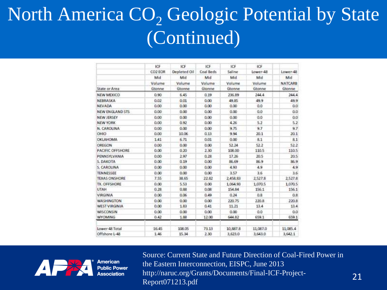## North America  $CO<sub>2</sub>$  Geologic Potential by State (Continued)

|                      | ICF     | ICF          | <b>JCF</b> | <b>ICF</b> | ICF      |                |
|----------------------|---------|--------------|------------|------------|----------|----------------|
|                      | CO2 EOR | Depleted Oil | Coal Beds  | Saline     | Lower-48 | Lower-48       |
|                      | Mid     | Mid          | Mid        | Mid        | Mid      | Mid            |
|                      | Valume  | Volume       | Volume     | Volume     | Volume   | <b>NATCARB</b> |
| State or Area        | Gtonne  | Gtonne       | Gtonne     | Gtonne     | Gtonne   | Gtonne         |
| NEW MEXICO           | 0.90    | 6.45         | 0.19       | 236.89     | 244.4    | 244.4          |
| NEBRASKA             | 0.02    | 0.01         | 0.00       | 49.85      | 49.9     | 49.9           |
| <b>NEVADA</b>        | 0.00    | 0.00         | 0.00       | 0.00       | 0.0      | 0.0            |
| NEW ENGLAND STS      | 0.00    | 0.00         | 0.00       | 0.00       | 0.0      | ö.ü            |
| NEW JERSEY           | 0.00    | 0.00         | 0.00       | 0.00       | 0.0      | 0.0            |
| <b>NEW YORK</b>      | 0.00    | 0.92         | 0.00       | 4.26       | 5.2      | 5.2            |
| N. CAROLINA          | 0.00    | 0.00         | 0.00       | 9.75       | 9.7      | 9.7            |
| OHIO                 | 0.00    | 10.06        | 0.13       | 9.94       | 20.1     | 20.1           |
| <b>OKLAHOMA</b>      | 1.41    | 6.71         | 0.01       | 0.00       | 8.1      | 81             |
| OREGON               | 0.00    | 0.00         | 0.00       | 52.24      | 52.2     | 52.2           |
| PACIFIC OFFSHORE     | 0.00    | 0.20         | 2.30       | 108.00     | 110.5    | 110.5          |
| PENNSYLVANIA         | 0.00    | 2.97         | 0.28       | 17.26      | 20.5     | 20.5           |
| S. DAKOTA            | 0.00    | 0.19         | 0.00       | 85,69      | 86.9     | 86.9           |
| S. CAROLINA          | 0.00    | 0.00         | 0.00       | 4.93       | 4.9      | 4.9            |
| <b>TENNESSEE</b>     | 0.00    | 0.00         | 0.00       | 3.57       | 3.6      | 3.6            |
| <b>TEXAS ONSHORE</b> | 7.55    | 38.65        | 22.82      | 2,458.83   | 2,527.8  | 2,527.8        |
| TX. OFFSHORE         | 0.00    | 5.53         | 0.00       | 1.064.93   | 1,070.5  | 1,070.5        |
| <b>LITAH</b>         | 0.28    | 0.88         | 0.08       | 154.84     | 156.1    | 156.1          |
| VIRGINIA             | 0.00    | 0.06         | 0.49       | 0.24       | 0.8      | 0.8            |
| WASHINGTON           | 0.00    | 0.00         | 0.00       | 220.75     | 220.8    | 220.8          |
| <b>WEST VIRGINIA</b> | 0.00    | 1.83         | 0.41       | 11.21      | 13.4     | 13.4           |
| <b>WISCONSIN</b>     | 0.00    | 0.00         | 0.00       | 0.00       | 0.0      | 0.0            |
| <b>WYOMING</b>       | 0.42    | 1.88         | 12.00      | 644.82     | 659.1    | 659.1          |
| Lower 48 Total       | 16.45   | 108.05       | 73.13      | 10,887.8   | 11,087.0 | 11,085.4       |
| Offshore L-48        | 1.46    | 15.34        | 2.30       | 3,623.0    | 3,643.0  | 3,642.1        |

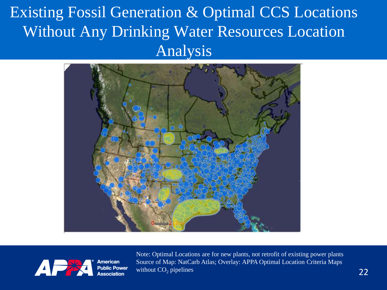Existing Fossil Generation & Optimal CCS Locations Without Any Drinking Water Resources Location Analysis





American **Public Power** Association

Note: Optimal Locations are for new plants, not retrofit of existing power plants Source of Map: NatCarb Atlas; Overlay: APPA Optimal Location Criteria Maps without  $CO<sub>2</sub>$  pipelines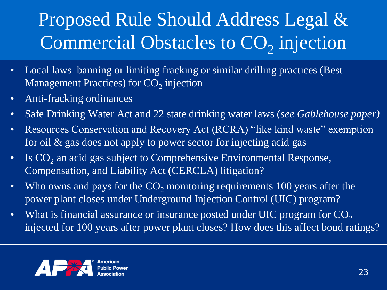# Proposed Rule Should Address Legal & Commercial Obstacles to CO<sub>2</sub> injection

- Local laws banning or limiting fracking or similar drilling practices (Best Management Practices) for  $\mathrm{CO}_2$  injection
- Anti-fracking ordinances
- Safe Drinking Water Act and 22 state drinking water laws (*see Gablehouse paper)*
- Resources Conservation and Recovery Act (RCRA) "like kind waste" exemption for oil & gas does not apply to power sector for injecting acid gas
- Is  $CO<sub>2</sub>$  an acid gas subject to Comprehensive Environmental Response, Compensation, and Liability Act (CERCLA) litigation?
- Who owns and pays for the  $CO<sub>2</sub>$  monitoring requirements 100 years after the power plant closes under Underground Injection Control (UIC) program?
- What is financial assurance or insurance posted under UIC program for  $CO<sub>2</sub>$ injected for 100 years after power plant closes? How does this affect bond ratings?

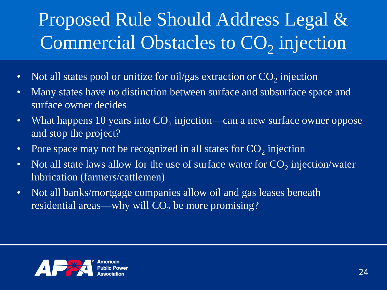# Proposed Rule Should Address Legal & Commercial Obstacles to CO<sub>2</sub> injection

- Not all states pool or unitize for oil/gas extraction or  $CO_2$  injection
- Many states have no distinction between surface and subsurface space and surface owner decides
- What happens 10 years into  $CO<sub>2</sub>$  injection—can a new surface owner oppose and stop the project?
- Pore space may not be recognized in all states for  $CO_2$  injection
- Not all state laws allow for the use of surface water for  $CO_2$  injection/water lubrication (farmers/cattlemen)
- Not all banks/mortgage companies allow oil and gas leases beneath residential areas—why will  $CO<sub>2</sub>$  be more promising?

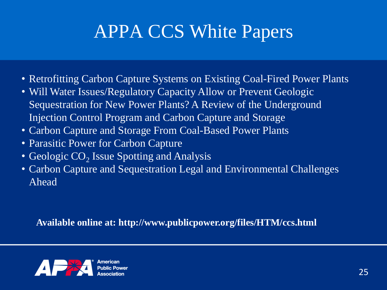#### APPA CCS White Papers

- Retrofitting Carbon Capture Systems on Existing Coal-Fired Power Plants
- Will Water Issues/Regulatory Capacity Allow or Prevent Geologic Sequestration for New Power Plants? A Review of the Underground Injection Control Program and Carbon Capture and Storage
- Carbon Capture and Storage From Coal-Based Power Plants
- Parasitic Power for Carbon Capture
- Geologic  $CO<sub>2</sub>$  Issue Spotting and Analysis
- Carbon Capture and Sequestration Legal and Environmental Challenges Ahead

**Available online at: http://www.publicpower.org/files/HTM/ccs.html**

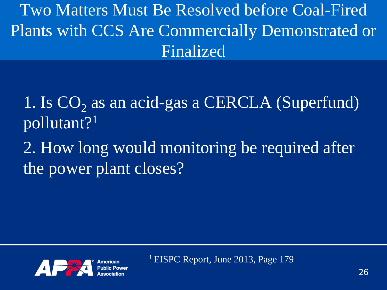Two Matters Must Be Resolved before Coal-Fired Plants with CCS Are Commercially Demonstrated or Finalized

1. Is  $CO<sub>2</sub>$  as an acid-gas a CERCLA (Superfund) pollutant?<sup>1</sup>

2. How long would monitoring be required after the power plant closes?



<sup>1</sup> EISPC Report, June 2013, Page 179